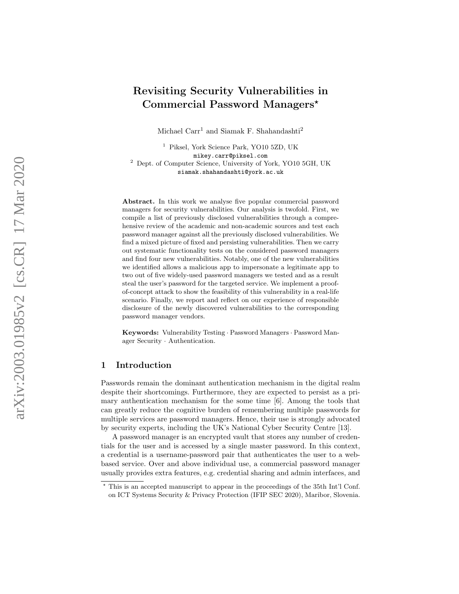# Revisiting Security Vulnerabilities in Commercial Password Managers\*

Michael Carr<sup>1</sup> and Siamak F. Shahandashti<sup>2</sup>

<sup>1</sup> Piksel, York Science Park, YO10 5ZD, UK mikey.carr@piksel.com <sup>2</sup> Dept. of Computer Science, University of York, YO10 5GH, UK siamak.shahandashti@york.ac.uk

Abstract. In this work we analyse five popular commercial password managers for security vulnerabilities. Our analysis is twofold. First, we compile a list of previously disclosed vulnerabilities through a comprehensive review of the academic and non-academic sources and test each password manager against all the previously disclosed vulnerabilities. We find a mixed picture of fixed and persisting vulnerabilities. Then we carry out systematic functionality tests on the considered password managers and find four new vulnerabilities. Notably, one of the new vulnerabilities we identified allows a malicious app to impersonate a legitimate app to two out of five widely-used password managers we tested and as a result steal the user's password for the targeted service. We implement a proofof-concept attack to show the feasibility of this vulnerability in a real-life scenario. Finally, we report and reflect on our experience of responsible disclosure of the newly discovered vulnerabilities to the corresponding password manager vendors.

Keywords: Vulnerability Testing · Password Managers · Password Manager Security · Authentication.

# 1 Introduction

Passwords remain the dominant authentication mechanism in the digital realm despite their shortcomings. Furthermore, they are expected to persist as a primary authentication mechanism for the some time [\[6\]](#page-13-0). Among the tools that can greatly reduce the cognitive burden of remembering multiple passwords for multiple services are password managers. Hence, their use is strongly advocated by security experts, including the UK's National Cyber Security Centre [\[13\]](#page-13-1).

A password manager is an encrypted vault that stores any number of credentials for the user and is accessed by a single master password. In this context, a credential is a username-password pair that authenticates the user to a webbased service. Over and above individual use, a commercial password manager usually provides extra features, e.g. credential sharing and admin interfaces, and

<sup>?</sup> This is an accepted manuscript to appear in the proceedings of the 35th Int'l Conf. on ICT Systems Security & Privacy Protection (IFIP SEC 2020), Maribor, Slovenia.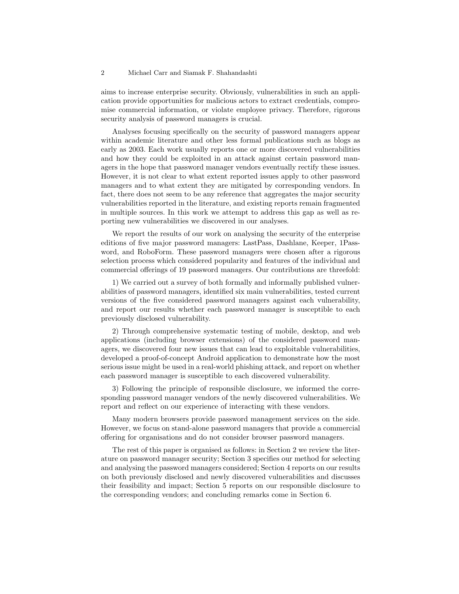aims to increase enterprise security. Obviously, vulnerabilities in such an application provide opportunities for malicious actors to extract credentials, compromise commercial information, or violate employee privacy. Therefore, rigorous security analysis of password managers is crucial.

Analyses focusing specifically on the security of password managers appear within academic literature and other less formal publications such as blogs as early as 2003. Each work usually reports one or more discovered vulnerabilities and how they could be exploited in an attack against certain password managers in the hope that password manager vendors eventually rectify these issues. However, it is not clear to what extent reported issues apply to other password managers and to what extent they are mitigated by corresponding vendors. In fact, there does not seem to be any reference that aggregates the major security vulnerabilities reported in the literature, and existing reports remain fragmented in multiple sources. In this work we attempt to address this gap as well as reporting new vulnerabilities we discovered in our analyses.

We report the results of our work on analysing the security of the enterprise editions of five major password managers: LastPass, Dashlane, Keeper, 1Password, and RoboForm. These password managers were chosen after a rigorous selection process which considered popularity and features of the individual and commercial offerings of 19 password managers. Our contributions are threefold:

1) We carried out a survey of both formally and informally published vulnerabilities of password managers, identified six main vulnerabilities, tested current versions of the five considered password managers against each vulnerability, and report our results whether each password manager is susceptible to each previously disclosed vulnerability.

2) Through comprehensive systematic testing of mobile, desktop, and web applications (including browser extensions) of the considered password managers, we discovered four new issues that can lead to exploitable vulnerabilities, developed a proof-of-concept Android application to demonstrate how the most serious issue might be used in a real-world phishing attack, and report on whether each password manager is susceptible to each discovered vulnerability.

3) Following the principle of responsible disclosure, we informed the corresponding password manager vendors of the newly discovered vulnerabilities. We report and reflect on our experience of interacting with these vendors.

Many modern browsers provide password management services on the side. However, we focus on stand-alone password managers that provide a commercial offering for organisations and do not consider browser password managers.

The rest of this paper is organised as follows: in Section [2](#page-2-0) we review the literature on password manager security; Section [3](#page-3-0) specifies our method for selecting and analysing the password managers considered; Section [4](#page-5-0) reports on our results on both previously disclosed and newly discovered vulnerabilities and discusses their feasibility and impact; Section [5](#page-11-0) reports on our responsible disclosure to the corresponding vendors; and concluding remarks come in Section [6.](#page-12-0)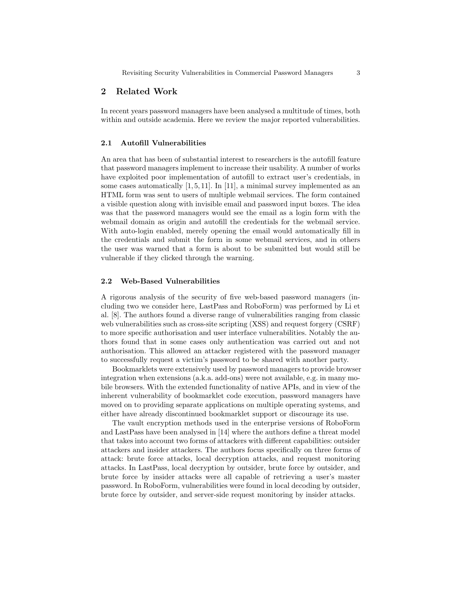## <span id="page-2-0"></span>2 Related Work

In recent years password managers have been analysed a multitude of times, both within and outside academia. Here we review the major reported vulnerabilities.

### 2.1 Autofill Vulnerabilities

An area that has been of substantial interest to researchers is the autofill feature that password managers implement to increase their usability. A number of works have exploited poor implementation of autofill to extract user's credentials, in some cases automatically  $[1, 5, 11]$  $[1, 5, 11]$  $[1, 5, 11]$ . In  $[11]$ , a minimal survey implemented as an HTML form was sent to users of multiple webmail services. The form contained a visible question along with invisible email and password input boxes. The idea was that the password managers would see the email as a login form with the webmail domain as origin and autofill the credentials for the webmail service. With auto-login enabled, merely opening the email would automatically fill in the credentials and submit the form in some webmail services, and in others the user was warned that a form is about to be submitted but would still be vulnerable if they clicked through the warning.

### 2.2 Web-Based Vulnerabilities

A rigorous analysis of the security of five web-based password managers (including two we consider here, LastPass and RoboForm) was performed by Li et al. [\[8\]](#page-13-5). The authors found a diverse range of vulnerabilities ranging from classic web vulnerabilities such as cross-site scripting (XSS) and request forgery (CSRF) to more specific authorisation and user interface vulnerabilities. Notably the authors found that in some cases only authentication was carried out and not authorisation. This allowed an attacker registered with the password manager to successfully request a victim's password to be shared with another party.

Bookmarklets were extensively used by password managers to provide browser integration when extensions (a.k.a. add-ons) were not available, e.g. in many mobile browsers. With the extended functionality of native APIs, and in view of the inherent vulnerability of bookmarklet code execution, password managers have moved on to providing separate applications on multiple operating systems, and either have already discontinued bookmarklet support or discourage its use.

The vault encryption methods used in the enterprise versions of RoboForm and LastPass have been analysed in [\[14\]](#page-13-6) where the authors define a threat model that takes into account two forms of attackers with different capabilities: outsider attackers and insider attackers. The authors focus specifically on three forms of attack: brute force attacks, local decryption attacks, and request monitoring attacks. In LastPass, local decryption by outsider, brute force by outsider, and brute force by insider attacks were all capable of retrieving a user's master password. In RoboForm, vulnerabilities were found in local decoding by outsider, brute force by outsider, and server-side request monitoring by insider attacks.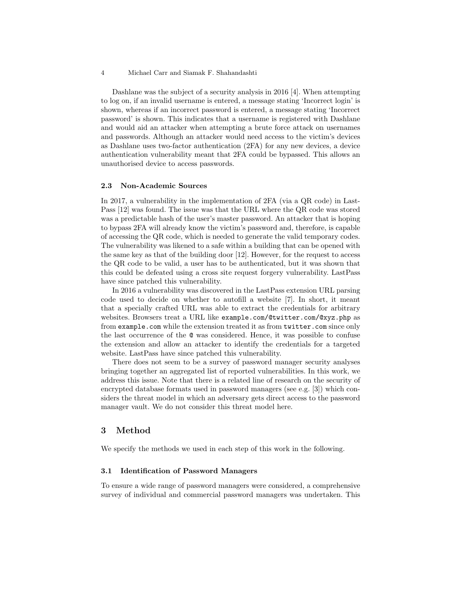Dashlane was the subject of a security analysis in 2016 [\[4\]](#page-13-7). When attempting to log on, if an invalid username is entered, a message stating 'Incorrect login' is shown, whereas if an incorrect password is entered, a message stating 'Incorrect password' is shown. This indicates that a username is registered with Dashlane and would aid an attacker when attempting a brute force attack on usernames and passwords. Although an attacker would need access to the victim's devices as Dashlane uses two-factor authentication (2FA) for any new devices, a device authentication vulnerability meant that 2FA could be bypassed. This allows an unauthorised device to access passwords.

### 2.3 Non-Academic Sources

In 2017, a vulnerability in the implementation of 2FA (via a QR code) in Last-Pass [\[12\]](#page-13-8) was found. The issue was that the URL where the QR code was stored was a predictable hash of the user's master password. An attacker that is hoping to bypass 2FA will already know the victim's password and, therefore, is capable of accessing the QR code, which is needed to generate the valid temporary codes. The vulnerability was likened to a safe within a building that can be opened with the same key as that of the building door [\[12\]](#page-13-8). However, for the request to access the QR code to be valid, a user has to be authenticated, but it was shown that this could be defeated using a cross site request forgery vulnerability. LastPass have since patched this vulnerability.

In 2016 a vulnerability was discovered in the LastPass extension URL parsing code used to decide on whether to autofill a website [\[7\]](#page-13-9). In short, it meant that a specially crafted URL was able to extract the credentials for arbitrary websites. Browsers treat a URL like example.com/@twitter.com/@xyz.php as from example.com while the extension treated it as from twitter.com since only the last occurrence of the @ was considered. Hence, it was possible to confuse the extension and allow an attacker to identify the credentials for a targeted website. LastPass have since patched this vulnerability.

There does not seem to be a survey of password manager security analyses bringing together an aggregated list of reported vulnerabilities. In this work, we address this issue. Note that there is a related line of research on the security of encrypted database formats used in password managers (see e.g. [\[3\]](#page-13-10)) which considers the threat model in which an adversary gets direct access to the password manager vault. We do not consider this threat model here.

### <span id="page-3-0"></span>3 Method

We specify the methods we used in each step of this work in the following.

### 3.1 Identification of Password Managers

To ensure a wide range of password managers were considered, a comprehensive survey of individual and commercial password managers was undertaken. This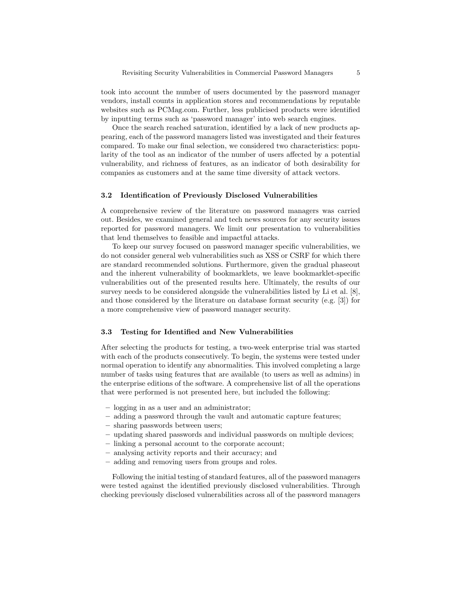took into account the number of users documented by the password manager vendors, install counts in application stores and recommendations by reputable websites such as PCMag.com. Further, less publicised products were identified by inputting terms such as 'password manager' into web search engines.

Once the search reached saturation, identified by a lack of new products appearing, each of the password managers listed was investigated and their features compared. To make our final selection, we considered two characteristics: popularity of the tool as an indicator of the number of users affected by a potential vulnerability, and richness of features, as an indicator of both desirability for companies as customers and at the same time diversity of attack vectors.

#### 3.2 Identification of Previously Disclosed Vulnerabilities

A comprehensive review of the literature on password managers was carried out. Besides, we examined general and tech news sources for any security issues reported for password managers. We limit our presentation to vulnerabilities that lend themselves to feasible and impactful attacks.

To keep our survey focused on password manager specific vulnerabilities, we do not consider general web vulnerabilities such as XSS or CSRF for which there are standard recommended solutions. Furthermore, given the gradual phaseout and the inherent vulnerability of bookmarklets, we leave bookmarklet-specific vulnerabilities out of the presented results here. Ultimately, the results of our survey needs to be considered alongside the vulnerabilities listed by Li et al. [\[8\]](#page-13-5), and those considered by the literature on database format security (e.g. [\[3\]](#page-13-10)) for a more comprehensive view of password manager security.

#### 3.3 Testing for Identified and New Vulnerabilities

After selecting the products for testing, a two-week enterprise trial was started with each of the products consecutively. To begin, the systems were tested under normal operation to identify any abnormalities. This involved completing a large number of tasks using features that are available (to users as well as admins) in the enterprise editions of the software. A comprehensive list of all the operations that were performed is not presented here, but included the following:

- logging in as a user and an administrator;
- adding a password through the vault and automatic capture features;
- sharing passwords between users;
- updating shared passwords and individual passwords on multiple devices;
- linking a personal account to the corporate account;
- analysing activity reports and their accuracy; and
- adding and removing users from groups and roles.

Following the initial testing of standard features, all of the password managers were tested against the identified previously disclosed vulnerabilities. Through checking previously disclosed vulnerabilities across all of the password managers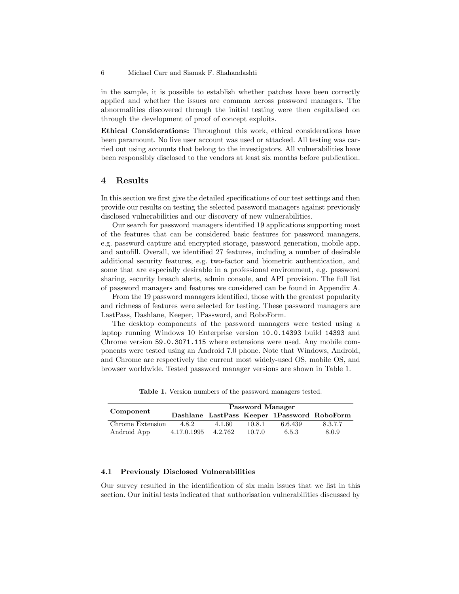in the sample, it is possible to establish whether patches have been correctly applied and whether the issues are common across password managers. The abnormalities discovered through the initial testing were then capitalised on through the development of proof of concept exploits.

Ethical Considerations: Throughout this work, ethical considerations have been paramount. No live user account was used or attacked. All testing was carried out using accounts that belong to the investigators. All vulnerabilities have been responsibly disclosed to the vendors at least six months before publication.

# <span id="page-5-0"></span>4 Results

In this section we first give the detailed specifications of our test settings and then provide our results on testing the selected password managers against previously disclosed vulnerabilities and our discovery of new vulnerabilities.

Our search for password managers identified 19 applications supporting most of the features that can be considered basic features for password managers, e.g. password capture and encrypted storage, password generation, mobile app, and autofill. Overall, we identified 27 features, including a number of desirable additional security features, e.g. two-factor and biometric authentication, and some that are especially desirable in a professional environment, e.g. password sharing, security breach alerts, admin console, and API provision. The full list of password managers and features we considered can be found in Appendix [A.](#page-13-11)

From the 19 password managers identified, those with the greatest popularity and richness of features were selected for testing. These password managers are LastPass, Dashlane, Keeper, 1Password, and RoboForm.

The desktop components of the password managers were tested using a laptop running Windows 10 Enterprise version 10.0.14393 build 14393 and Chrome version 59.0.3071.115 where extensions were used. Any mobile components were tested using an Android 7.0 phone. Note that Windows, Android, and Chrome are respectively the current most widely-used OS, mobile OS, and browser worldwide. Tested password manager versions are shown in [Table 1.](#page-5-1)

| Component        | Password Manager |         |        |         |                                             |  |
|------------------|------------------|---------|--------|---------|---------------------------------------------|--|
|                  |                  |         |        |         | Dashlane LastPass Keeper 1Password RoboForm |  |
| Chrome Extension | 4.8.2            | 4.1.60  | 10.8.1 | 6.6.439 | 8.3.7.7                                     |  |
| Android App      | 4.17.0.1995      | 4.2.762 | 10.7.0 | 6.5.3   | 8.0.9                                       |  |

<span id="page-5-1"></span>Table 1. Version numbers of the password managers tested.

### 4.1 Previously Disclosed Vulnerabilities

Our survey resulted in the identification of six main issues that we list in this section. Our initial tests indicated that authorisation vulnerabilities discussed by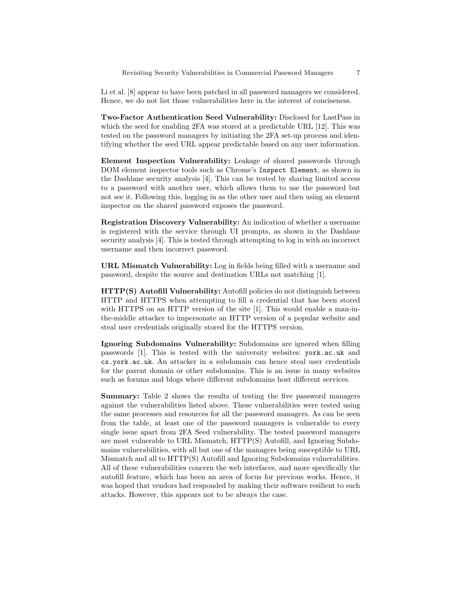Li et al. [\[8\]](#page-13-5) appear to have been patched in all password managers we considered. Hence, we do not list those vulnerabilities here in the interest of conciseness.

Two-Factor Authentication Seed Vulnerability: Disclosed for LastPass in which the seed for enabling 2FA was stored at a predictable URL [\[12\]](#page-13-8). This was tested on the password managers by initiating the 2FA set-up process and identifying whether the seed URL appear predictable based on any user information.

Element Inspection Vulnerability: Leakage of shared passwords through DOM element inspector tools such as Chrome's Inspect Element, as shown in the Dashlane security analysis [\[4\]](#page-13-7). This can be tested by sharing limited access to a password with another user, which allows them to use the password but not see it. Following this, logging in as the other user and then using an element inspector on the shared password exposes the password.

Registration Discovery Vulnerability: An indication of whether a username is registered with the service through UI prompts, as shown in the Dashlane security analysis [\[4\]](#page-13-7). This is tested through attempting to log in with an incorrect username and then incorrect password.

URL Mismatch Vulnerability: Log in fields being filled with a username and password, despite the source and destination URLs not matching [\[1\]](#page-13-2).

HTTP(S) Autofill Vulnerability: Autofill policies do not distinguish between HTTP and HTTPS when attempting to fill a credential that has been stored with HTTPS on an HTTP version of the site [\[1\]](#page-13-2). This would enable a man-inthe-middle attacker to impersonate an HTTP version of a popular website and steal user credentials originally stored for the HTTPS version.

Ignoring Subdomains Vulnerability: Subdomains are ignored when filling passwords [\[1\]](#page-13-2). This is tested with the university websites: york.ac.uk and cs.york.ac.uk. An attacker in a subdomain can hence steal user credentials for the parent domain or other subdomains. This is an issue in many websites such as forums and blogs where different subdomains host different services.

Summary: [Table 2](#page-7-0) shows the results of testing the five password managers against the vulnerabilities listed above. These vulnerabilities were tested using the same processes and resources for all the password managers. As can be seen from the table, at least one of the password managers is vulnerable to every single issue apart from 2FA Seed vulnerability. The tested password managers are most vulnerable to URL Mismatch, HTTP(S) Autofill, and Ignoring Subdomains vulnerabilities, with all but one of the managers being susceptible to URL Mismatch and all to HTTP(S) Autofill and Ignoring Subdomains vulnerabilities. All of these vulnerabilities concern the web interfaces, and more specifically the autofill feature, which has been an area of focus for previous works. Hence, it was hoped that vendors had responded by making their software resilient to such attacks. However, this appears not to be always the case.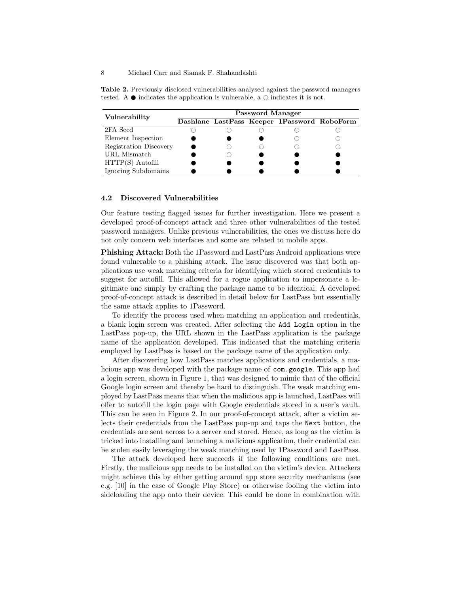| Vulnerability          | <b>Password Manager</b> |  |  |                                             |  |  |
|------------------------|-------------------------|--|--|---------------------------------------------|--|--|
|                        |                         |  |  | Dashlane LastPass Keeper 1Password RoboForm |  |  |
| 2FA Seed               |                         |  |  |                                             |  |  |
| Element Inspection     |                         |  |  |                                             |  |  |
| Registration Discovery |                         |  |  |                                             |  |  |
| URL Mismatch           |                         |  |  |                                             |  |  |
| $HTTP(S)$ Autofill     |                         |  |  |                                             |  |  |
| Ignoring Subdomains    |                         |  |  |                                             |  |  |

<span id="page-7-0"></span>Table 2. Previously disclosed vulnerabilities analysed against the password managers tested. A  $\bullet$  indicates the application is vulnerable, a  $\circ$  indicates it is not.

## 4.2 Discovered Vulnerabilities

Our feature testing flagged issues for further investigation. Here we present a developed proof-of-concept attack and three other vulnerabilities of the tested password managers. Unlike previous vulnerabilities, the ones we discuss here do not only concern web interfaces and some are related to mobile apps.

Phishing Attack: Both the 1Password and LastPass Android applications were found vulnerable to a phishing attack. The issue discovered was that both applications use weak matching criteria for identifying which stored credentials to suggest for autofill. This allowed for a rogue application to impersonate a legitimate one simply by crafting the package name to be identical. A developed proof-of-concept attack is described in detail below for LastPass but essentially the same attack applies to 1Password.

To identify the process used when matching an application and credentials, a blank login screen was created. After selecting the Add Login option in the LastPass pop-up, the URL shown in the LastPass application is the package name of the application developed. This indicated that the matching criteria employed by LastPass is based on the package name of the application only.

After discovering how LastPass matches applications and credentials, a malicious app was developed with the package name of com.google. This app had a login screen, shown in [Figure 1,](#page-8-0) that was designed to mimic that of the official Google login screen and thereby be hard to distinguish. The weak matching employed by LastPass means that when the malicious app is launched, LastPass will offer to autofill the login page with Google credentials stored in a user's vault. This can be seen in [Figure 2.](#page-8-1) In our proof-of-concept attack, after a victim selects their credentials from the LastPass pop-up and taps the Next button, the credentials are sent across to a server and stored. Hence, as long as the victim is tricked into installing and launching a malicious application, their credential can be stolen easily leveraging the weak matching used by 1Password and LastPass.

The attack developed here succeeds if the following conditions are met. Firstly, the malicious app needs to be installed on the victim's device. Attackers might achieve this by either getting around app store security mechanisms (see e.g. [\[10\]](#page-13-12) in the case of Google Play Store) or otherwise fooling the victim into sideloading the app onto their device. This could be done in combination with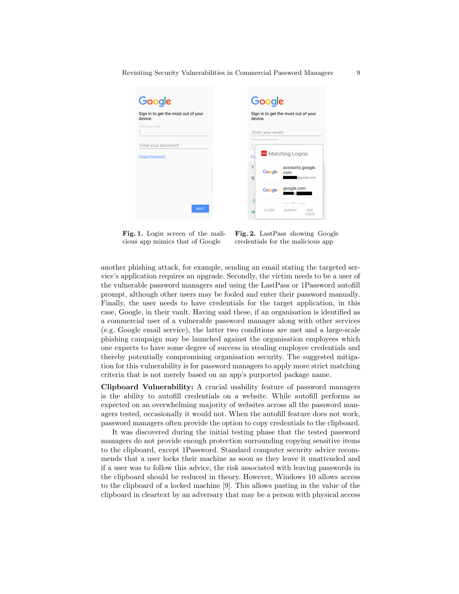| Google                                         | Google                                                                           |  |  |
|------------------------------------------------|----------------------------------------------------------------------------------|--|--|
| Sign in to get the most out of your<br>device. | Sign in to get the most out of your<br>device.                                   |  |  |
| Enter your email                               | Enter your email<br>Enter your password                                          |  |  |
| Enter your password<br><b>Forgot Password?</b> | <b>m</b> Matching Logins<br>Fo                                                   |  |  |
|                                                | 1<br>accounts.google.<br>Google<br>com<br>@gmail.com<br>q                        |  |  |
|                                                | google.com<br>Google                                                             |  |  |
| <b>NEXT</b>                                    | ومحاملته والمرامين<br>SEARCH<br>CLOSE<br>ADD<br><b>I</b> <sub>(a)</sub><br>LOGIN |  |  |

<span id="page-8-0"></span>Fig. 1. Login screen of the malicious app mimics that of Google

<span id="page-8-1"></span>Fig. 2. LastPass showing Google credentials for the malicious app

another phishing attack, for example, sending an email stating the targeted service's application requires an upgrade. Secondly, the victim needs to be a user of the vulnerable password managers and using the LastPass or 1Password autofill prompt, although other users may be fooled and enter their password manually. Finally, the user needs to have credentials for the target application, in this case, Google, in their vault. Having said these, if an organisation is identified as a commercial user of a vulnerable password manager along with other services (e.g. Google email service), the latter two conditions are met and a large-scale phishing campaign may be launched against the organisation employees which one expects to have some degree of success in stealing employee credentials and thereby potentially compromising organisation security. The suggested mitigation for this vulnerability is for password managers to apply more strict matching criteria that is not merely based on an app's purported package name.

Clipboard Vulnerability: A crucial usability feature of password managers is the ability to autofill credentials on a website. While autofill performs as expected on an overwhelming majority of websites across all the password managers tested, occasionally it would not. When the autofill feature does not work, password managers often provide the option to copy credentials to the clipboard.

It was discovered during the initial testing phase that the tested password managers do not provide enough protection surrounding copying sensitive items to the clipboard, except 1Password. Standard computer security advice recommends that a user locks their machine as soon as they leave it unattended and if a user was to follow this advice, the risk associated with leaving passwords in the clipboard should be reduced in theory. However, Windows 10 allows access to the clipboard of a locked machine [\[9\]](#page-13-13). This allows pasting in the value of the clipboard in cleartext by an adversary that may be a person with physical access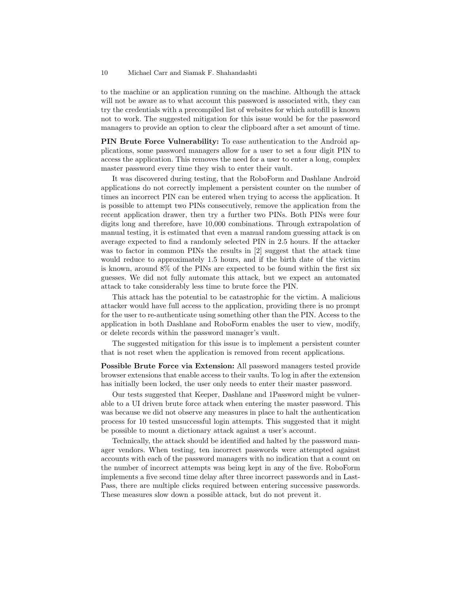to the machine or an application running on the machine. Although the attack will not be aware as to what account this password is associated with, they can try the credentials with a precompiled list of websites for which autofill is known not to work. The suggested mitigation for this issue would be for the password managers to provide an option to clear the clipboard after a set amount of time.

PIN Brute Force Vulnerability: To ease authentication to the Android applications, some password managers allow for a user to set a four digit PIN to access the application. This removes the need for a user to enter a long, complex master password every time they wish to enter their vault.

It was discovered during testing, that the RoboForm and Dashlane Android applications do not correctly implement a persistent counter on the number of times an incorrect PIN can be entered when trying to access the application. It is possible to attempt two PINs consecutively, remove the application from the recent application drawer, then try a further two PINs. Both PINs were four digits long and therefore, have 10,000 combinations. Through extrapolation of manual testing, it is estimated that even a manual random guessing attack is on average expected to find a randomly selected PIN in 2.5 hours. If the attacker was to factor in common PINs the results in [\[2\]](#page-13-14) suggest that the attack time would reduce to approximately 1.5 hours, and if the birth date of the victim is known, around 8% of the PINs are expected to be found within the first six guesses. We did not fully automate this attack, but we expect an automated attack to take considerably less time to brute force the PIN.

This attack has the potential to be catastrophic for the victim. A malicious attacker would have full access to the application, providing there is no prompt for the user to re-authenticate using something other than the PIN. Access to the application in both Dashlane and RoboForm enables the user to view, modify, or delete records within the password manager's vault.

The suggested mitigation for this issue is to implement a persistent counter that is not reset when the application is removed from recent applications.

Possible Brute Force via Extension: All password managers tested provide browser extensions that enable access to their vaults. To log in after the extension has initially been locked, the user only needs to enter their master password.

Our tests suggested that Keeper, Dashlane and 1Password might be vulnerable to a UI driven brute force attack when entering the master password. This was because we did not observe any measures in place to halt the authentication process for 10 tested unsuccessful login attempts. This suggested that it might be possible to mount a dictionary attack against a user's account.

Technically, the attack should be identified and halted by the password manager vendors. When testing, ten incorrect passwords were attempted against accounts with each of the password managers with no indication that a count on the number of incorrect attempts was being kept in any of the five. RoboForm implements a five second time delay after three incorrect passwords and in Last-Pass, there are multiple clicks required between entering successive passwords. These measures slow down a possible attack, but do not prevent it.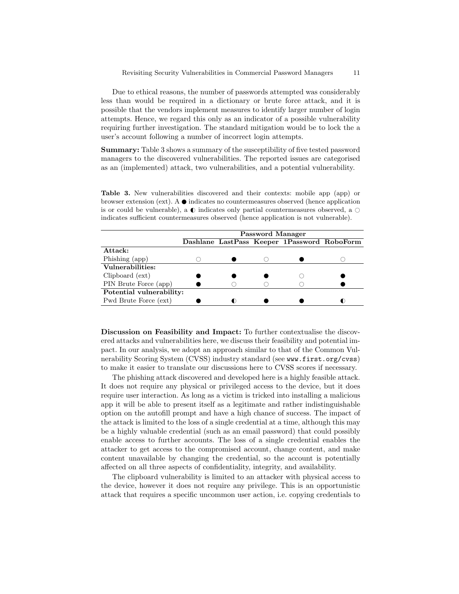Due to ethical reasons, the number of passwords attempted was considerably less than would be required in a dictionary or brute force attack, and it is possible that the vendors implement measures to identify larger number of login attempts. Hence, we regard this only as an indicator of a possible vulnerability requiring further investigation. The standard mitigation would be to lock the a user's account following a number of incorrect login attempts.

Summary: [Table 3](#page-10-0) shows a summary of the susceptibility of five tested password managers to the discovered vulnerabilities. The reported issues are categorised as an (implemented) attack, two vulnerabilities, and a potential vulnerability.

|                          | Password Manager |  |  |  |                                             |  |
|--------------------------|------------------|--|--|--|---------------------------------------------|--|
|                          |                  |  |  |  | Dashlane LastPass Keeper 1Password RoboForm |  |
| Attack:                  |                  |  |  |  |                                             |  |
| Phishing (app)           |                  |  |  |  |                                             |  |
| Vulnerabilities:         |                  |  |  |  |                                             |  |
| Clipboard (ext)          |                  |  |  |  |                                             |  |
| PIN Brute Force (app)    |                  |  |  |  |                                             |  |
| Potential vulnerability: |                  |  |  |  |                                             |  |
| Pwd Brute Force (ext)    |                  |  |  |  |                                             |  |

<span id="page-10-0"></span>Table 3. New vulnerabilities discovered and their contexts: mobile app (app) or browser extension (ext). A  $\bullet$  indicates no countermeasures observed (hence application is or could be vulnerable), a  $\mathbb O$  indicates only partial countermeasures observed, a  $\circ$ indicates sufficient countermeasures observed (hence application is not vulnerable).

Discussion on Feasibility and Impact: To further contextualise the discovered attacks and vulnerabilities here, we discuss their feasibility and potential impact. In our analysis, we adopt an approach similar to that of the Common Vulnerability Scoring System (CVSS) industry standard (see <www.first.org/cvss>) to make it easier to translate our discussions here to CVSS scores if necessary.

The phishing attack discovered and developed here is a highly feasible attack. It does not require any physical or privileged access to the device, but it does require user interaction. As long as a victim is tricked into installing a malicious app it will be able to present itself as a legitimate and rather indistinguishable option on the autofill prompt and have a high chance of success. The impact of the attack is limited to the loss of a single credential at a time, although this may be a highly valuable credential (such as an email password) that could possibly enable access to further accounts. The loss of a single credential enables the attacker to get access to the compromised account, change content, and make content unavailable by changing the credential, so the account is potentially affected on all three aspects of confidentiality, integrity, and availability.

The clipboard vulnerability is limited to an attacker with physical access to the device, however it does not require any privilege. This is an opportunistic attack that requires a specific uncommon user action, i.e. copying credentials to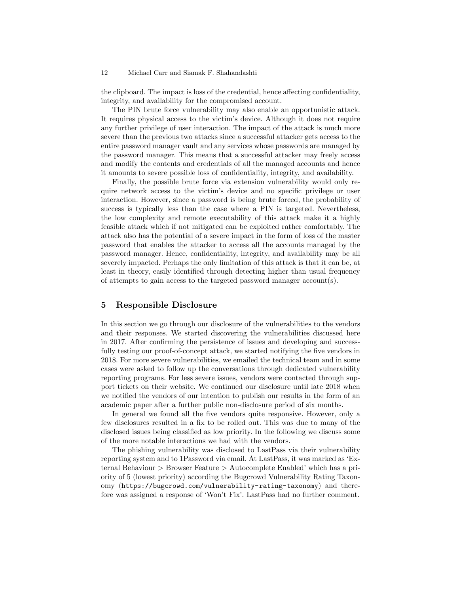the clipboard. The impact is loss of the credential, hence affecting confidentiality, integrity, and availability for the compromised account.

The PIN brute force vulnerability may also enable an opportunistic attack. It requires physical access to the victim's device. Although it does not require any further privilege of user interaction. The impact of the attack is much more severe than the previous two attacks since a successful attacker gets access to the entire password manager vault and any services whose passwords are managed by the password manager. This means that a successful attacker may freely access and modify the contents and credentials of all the managed accounts and hence it amounts to severe possible loss of confidentiality, integrity, and availability.

Finally, the possible brute force via extension vulnerability would only require network access to the victim's device and no specific privilege or user interaction. However, since a password is being brute forced, the probability of success is typically less than the case where a PIN is targeted. Nevertheless, the low complexity and remote executability of this attack make it a highly feasible attack which if not mitigated can be exploited rather comfortably. The attack also has the potential of a severe impact in the form of loss of the master password that enables the attacker to access all the accounts managed by the password manager. Hence, confidentiality, integrity, and availability may be all severely impacted. Perhaps the only limitation of this attack is that it can be, at least in theory, easily identified through detecting higher than usual frequency of attempts to gain access to the targeted password manager account(s).

# <span id="page-11-0"></span>5 Responsible Disclosure

In this section we go through our disclosure of the vulnerabilities to the vendors and their responses. We started discovering the vulnerabilities discussed here in 2017. After confirming the persistence of issues and developing and successfully testing our proof-of-concept attack, we started notifying the five vendors in 2018. For more severe vulnerabilities, we emailed the technical team and in some cases were asked to follow up the conversations through dedicated vulnerability reporting programs. For less severe issues, vendors were contacted through support tickets on their website. We continued our disclosure until late 2018 when we notified the vendors of our intention to publish our results in the form of an academic paper after a further public non-disclosure period of six months.

In general we found all the five vendors quite responsive. However, only a few disclosures resulted in a fix to be rolled out. This was due to many of the disclosed issues being classified as low priority. In the following we discuss some of the more notable interactions we had with the vendors.

The phishing vulnerability was disclosed to LastPass via their vulnerability reporting system and to 1Password via email. At LastPass, it was marked as 'External Behaviour > Browser Feature > Autocomplete Enabled' which has a priority of 5 (lowest priority) according the Bugcrowd Vulnerability Rating Taxonomy (<https://bugcrowd.com/vulnerability-rating-taxonomy>) and therefore was assigned a response of 'Won't Fix'. LastPass had no further comment.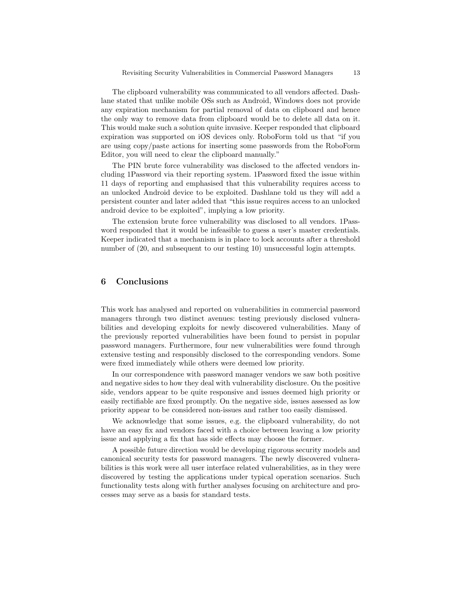The clipboard vulnerability was communicated to all vendors affected. Dashlane stated that unlike mobile OSs such as Android, Windows does not provide any expiration mechanism for partial removal of data on clipboard and hence the only way to remove data from clipboard would be to delete all data on it. This would make such a solution quite invasive. Keeper responded that clipboard expiration was supported on iOS devices only. RoboForm told us that "if you are using copy/paste actions for inserting some passwords from the RoboForm Editor, you will need to clear the clipboard manually."

The PIN brute force vulnerability was disclosed to the affected vendors including 1Password via their reporting system. 1Password fixed the issue within 11 days of reporting and emphasised that this vulnerability requires access to an unlocked Android device to be exploited. Dashlane told us they will add a persistent counter and later added that "this issue requires access to an unlocked android device to be exploited", implying a low priority.

The extension brute force vulnerability was disclosed to all vendors. 1Password responded that it would be infeasible to guess a user's master credentials. Keeper indicated that a mechanism is in place to lock accounts after a threshold number of (20, and subsequent to our testing 10) unsuccessful login attempts.

## <span id="page-12-0"></span>6 Conclusions

This work has analysed and reported on vulnerabilities in commercial password managers through two distinct avenues: testing previously disclosed vulnerabilities and developing exploits for newly discovered vulnerabilities. Many of the previously reported vulnerabilities have been found to persist in popular password managers. Furthermore, four new vulnerabilities were found through extensive testing and responsibly disclosed to the corresponding vendors. Some were fixed immediately while others were deemed low priority.

In our correspondence with password manager vendors we saw both positive and negative sides to how they deal with vulnerability disclosure. On the positive side, vendors appear to be quite responsive and issues deemed high priority or easily rectifiable are fixed promptly. On the negative side, issues assessed as low priority appear to be considered non-issues and rather too easily dismissed.

We acknowledge that some issues, e.g. the clipboard vulnerability, do not have an easy fix and vendors faced with a choice between leaving a low priority issue and applying a fix that has side effects may choose the former.

A possible future direction would be developing rigorous security models and canonical security tests for password managers. The newly discovered vulnerabilities is this work were all user interface related vulnerabilities, as in they were discovered by testing the applications under typical operation scenarios. Such functionality tests along with further analyses focusing on architecture and processes may serve as a basis for standard tests.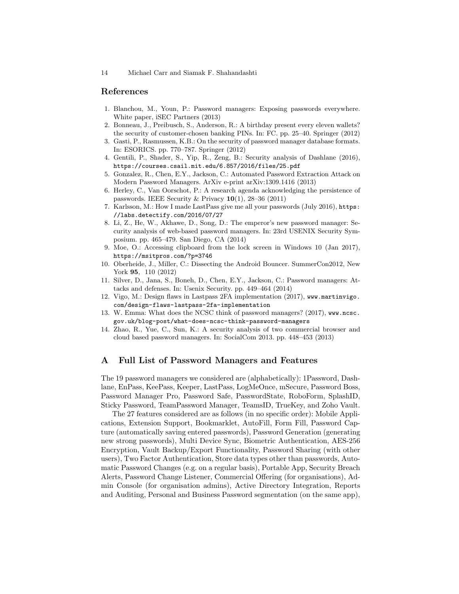## References

- <span id="page-13-2"></span>1. Blanchou, M., Youn, P.: Password managers: Exposing passwords everywhere. White paper, iSEC Partners (2013)
- <span id="page-13-14"></span>2. Bonneau, J., Preibusch, S., Anderson, R.: A birthday present every eleven wallets? the security of customer-chosen banking PINs. In: FC. pp. 25–40. Springer (2012)
- <span id="page-13-10"></span>3. Gasti, P., Rasmussen, K.B.: On the security of password manager database formats. In: ESORICS. pp. 770–787. Springer (2012)
- <span id="page-13-7"></span>4. Gentili, P., Shader, S., Yip, R., Zeng, B.: Security analysis of Dashlane (2016), <https://courses.csail.mit.edu/6.857/2016/files/25.pdf>
- <span id="page-13-3"></span>5. Gonzalez, R., Chen, E.Y., Jackson, C.: Automated Password Extraction Attack on Modern Password Managers. ArXiv e-print arXiv:1309.1416 (2013)
- <span id="page-13-0"></span>6. Herley, C., Van Oorschot, P.: A research agenda acknowledging the persistence of passwords. IEEE Security & Privacy  $10(1)$ , 28-36 (2011)
- <span id="page-13-9"></span>7. Karlsson, M.: How I made LastPass give me all your passwords (July 2016), [https:](https://labs.detectify.com/2016/07/27) [//labs.detectify.com/2016/07/27](https://labs.detectify.com/2016/07/27)
- <span id="page-13-5"></span>8. Li, Z., He, W., Akhawe, D., Song, D.: The emperor's new password manager: Security analysis of web-based password managers. In: 23rd USENIX Security Symposium. pp. 465–479. San Diego, CA (2014)
- <span id="page-13-13"></span>9. Moe, O.: Accessing clipboard from the lock screen in Windows 10 (Jan 2017), <https://msitpros.com/?p=3746>
- <span id="page-13-12"></span>10. Oberheide, J., Miller, C.: Dissecting the Android Bouncer. SummerCon2012, New York 95, 110 (2012)
- <span id="page-13-4"></span>11. Silver, D., Jana, S., Boneh, D., Chen, E.Y., Jackson, C.: Password managers: Attacks and defenses. In: Usenix Security. pp. 449–464 (2014)
- <span id="page-13-8"></span>12. Vigo, M.: Design flaws in Lastpass 2FA implementation (2017), [www.martinvigo.](www.martinvigo.com/design-flaws-lastpass-2fa-implementation) [com/design-flaws-lastpass-2fa-implementation](www.martinvigo.com/design-flaws-lastpass-2fa-implementation)
- <span id="page-13-1"></span>13. W. Emma: What does the NCSC think of password managers? (2017), [www.ncsc.](www.ncsc.gov.uk/blog-post/what-does-ncsc-think-password-managers) [gov.uk/blog-post/what-does-ncsc-think-password-managers](www.ncsc.gov.uk/blog-post/what-does-ncsc-think-password-managers)
- <span id="page-13-6"></span>14. Zhao, R., Yue, C., Sun, K.: A security analysis of two commercial browser and cloud based password managers. In: SocialCom 2013. pp. 448–453 (2013)

# <span id="page-13-11"></span>A Full List of Password Managers and Features

The 19 password managers we considered are (alphabetically): 1Password, Dashlane, EnPass, KeePass, Keeper, LastPass, LogMeOnce, mSecure, Password Boss, Password Manager Pro, Password Safe, PasswordState, RoboForm, SplashID, Sticky Password, TeamPassword Manager, TeamsID, TrueKey, and Zoho Vault.

The 27 features considered are as follows (in no specific order): Mobile Applications, Extension Support, Bookmarklet, AutoFill, Form Fill, Password Capture (automatically saving entered passwords), Password Generation (generating new strong passwords), Multi Device Sync, Biometric Authentication, AES-256 Encryption, Vault Backup/Export Functionality, Password Sharing (with other users), Two Factor Authentication, Store data types other than passwords, Automatic Password Changes (e.g. on a regular basis), Portable App, Security Breach Alerts, Password Change Listener, Commercial Offering (for organisations), Admin Console (for organisation admins), Active Directory Integration, Reports and Auditing, Personal and Business Password segmentation (on the same app),